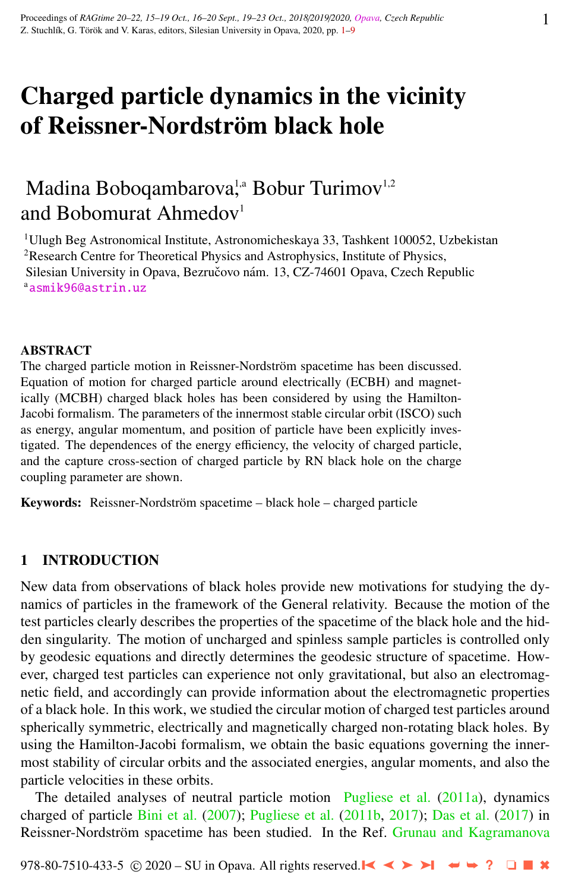# Charged particle dynamics in the vicinity of Reissner-Nordström black hole

# Madina Boboqambarova,<sup>1,a</sup> Bobur Turimov<sup>1,2</sup> and Bobomurat Ahmedov<sup>1</sup>

<sup>1</sup>Ulugh Beg Astronomical Institute, Astronomicheskaya 33, Tashkent 100052, Uzbekistan <sup>2</sup>Research Centre for Theoretical Physics and Astrophysics, Institute of Physics, Silesian University in Opava, Bezručovo nám. 13, CZ-74601 Opava, Czech Republic a<sub>[asmik96@astrin.uz](http://www.physics.cz/ asmik96@astrin.uz)</sub>

#### ABSTRACT

The charged particle motion in Reissner-Nordström spacetime has been discussed. Equation of motion for charged particle around electrically (ECBH) and magnetically (MCBH) charged black holes has been considered by using the Hamilton-Jacobi formalism. The parameters of the innermost stable circular orbit (ISCO) such as energy, angular momentum, and position of particle have been explicitly investigated. The dependences of the energy efficiency, the velocity of charged particle, and the capture cross-section of charged particle by RN black hole on the charge coupling parameter are shown.

Keywords: Reissner-Nordström spacetime – black hole – charged particle

# 1 INTRODUCTION

New data from observations of black holes provide new motivations for studying the dynamics of particles in the framework of the General relativity. Because the motion of the test particles clearly describes the properties of the spacetime of the black hole and the hidden singularity. The motion of uncharged and spinless sample particles is controlled only by geodesic equations and directly determines the geodesic structure of spacetime. However, charged test particles can experience not only gravitational, but also an electromagnetic field, and accordingly can provide information about the electromagnetic properties of a black hole. In this work, we studied the circular motion of charged test particles around spherically symmetric, electrically and magnetically charged non-rotating black holes. By using the Hamilton-Jacobi formalism, we obtain the basic equations governing the innermost stability of circular orbits and the associated energies, angular moments, and also the particle velocities in these orbits.

The detailed analyses of neutral particle motion [Pugliese et al.](#page-7-0) [\(2011a\)](#page-7-0), dynamics charged of particle [Bini et al.](#page-7-0) [\(2007\)](#page-7-0); [Pugliese et al.](#page-7-0) [\(2011b,](#page-7-0) [2017\)](#page-7-0); [Das et al.](#page-7-0) [\(2017\)](#page-7-0) in Reissner-Nordström spacetime has been studied. In the Ref. [Grunau and Kagramanova](#page-7-0)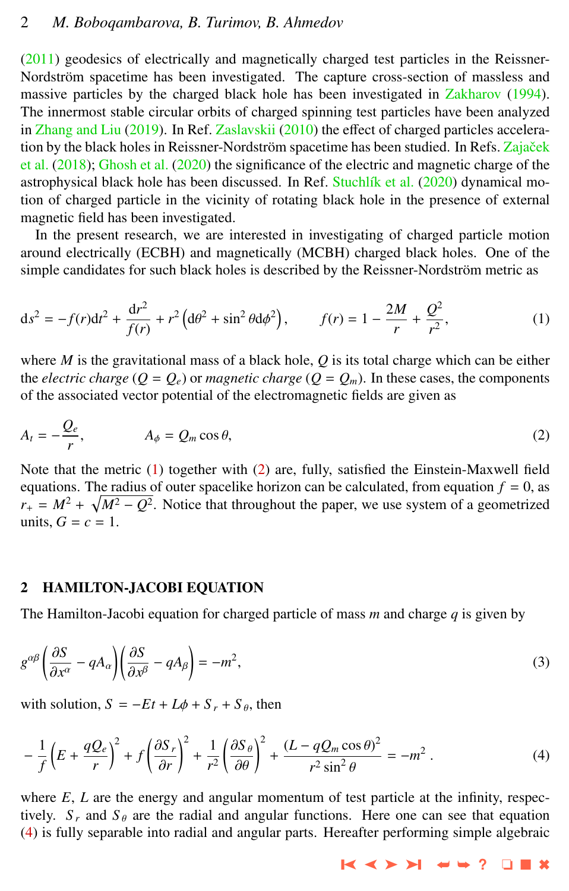# 2 *M. Boboqambarova, B. Turimov, B. Ahmedov*

[\(2011\)](#page-7-0) geodesics of electrically and magnetically charged test particles in the Reissner-Nordström spacetime has been investigated. The capture cross-section of massless and massive particles by the charged black hole has been investigated in [Zakharov](#page-8-0) [\(1994\)](#page-8-0). The innermost stable circular orbits of charged spinning test particles have been analyzed in [Zhang and Liu](#page-8-0) [\(2019\)](#page-8-0). In Ref. [Zaslavskii](#page-8-0) [\(2010\)](#page-8-0) the effect of charged particles acceleration by the black holes in Reissner-Nordström spacetime has been studied. In Refs. Zajaček [et al.](#page-8-0) [\(2018\)](#page-8-0); [Ghosh et al.](#page-7-0) [\(2020\)](#page-7-0) the significance of the electric and magnetic charge of the astrophysical black hole has been discussed. In Ref. Stuchlík et al. [\(2020\)](#page-7-0) dynamical motion of charged particle in the vicinity of rotating black hole in the presence of external magnetic field has been investigated.

In the present research, we are interested in investigating of charged particle motion around electrically (ECBH) and magnetically (MCBH) charged black holes. One of the simple candidates for such black holes is described by the Reissner-Nordström metric as

$$
ds^{2} = -f(r)dt^{2} + \frac{dr^{2}}{f(r)} + r^{2} \left( d\theta^{2} + \sin^{2} \theta d\phi^{2} \right), \qquad f(r) = 1 - \frac{2M}{r} + \frac{Q^{2}}{r^{2}},
$$
 (1)

where *M* is the gravitational mass of a black hole,  $Q$  is its total charge which can be either the *electric charge* ( $Q = Q_e$ ) or *magnetic charge* ( $Q = Q_m$ ). In these cases, the components of the associated vector potential of the electromagnetic fields are given as

$$
A_t = -\frac{Q_e}{r}, \qquad A_\phi = Q_m \cos \theta, \tag{2}
$$

Note that the metric (1) together with (2) are, fully, satisfied the Einstein-Maxwell field equations. The radius of outer spacelike horizon can be calculated, from equation  $f = 0$ , as  $r_{+} = M^{2} + \sqrt{M^{2} - Q^{2}}$ . Notice that throughout the paper, we use system of a geometrized units,  $G = c = 1$ .

#### 2 HAMILTON-JACOBI EQUATION

The Hamilton-Jacobi equation for charged particle of mass *m* and charge *q* is given by

$$
g^{\alpha\beta} \left( \frac{\partial S}{\partial x^{\alpha}} - qA_{\alpha} \right) \left( \frac{\partial S}{\partial x^{\beta}} - qA_{\beta} \right) = -m^{2},\tag{3}
$$

with solution,  $S = -Et + L\phi + S_r + S_\theta$ , then

$$
-\frac{1}{f}\left(E+\frac{qQ_e}{r}\right)^2+f\left(\frac{\partial S_r}{\partial r}\right)^2+\frac{1}{r^2}\left(\frac{\partial S_\theta}{\partial \theta}\right)^2+\frac{(L-qQ_m\cos\theta)^2}{r^2\sin^2\theta}=-m^2.
$$
 (4)

where  $E$ ,  $L$  are the energy and angular momentum of test particle at the infinity, respectively.  $S_r$  and  $S_\theta$  are the radial and angular functions. Here one can see that equation (4) is fully separable into radial and angular parts. Hereafter performing simple algebraic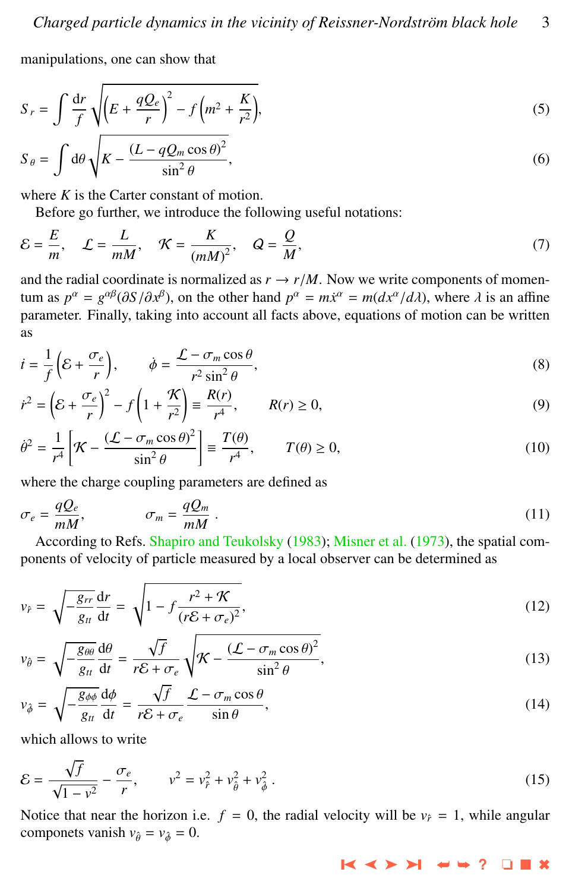manipulations, one can show that

$$
S_r = \int \frac{dr}{f} \sqrt{\left(E + \frac{qQ_e}{r}\right)^2 - f\left(m^2 + \frac{K}{r^2}\right)},\tag{5}
$$

$$
S_{\theta} = \int d\theta \sqrt{K - \frac{(L - qQ_m \cos \theta)^2}{\sin^2 \theta}},
$$
\n(6)

where *K* is the Carter constant of motion.

Before go further, we introduce the following useful notations:

$$
\mathcal{E} = \frac{E}{m}, \quad \mathcal{L} = \frac{L}{mM}, \quad \mathcal{K} = \frac{K}{(mM)^2}, \quad Q = \frac{Q}{M}, \tag{7}
$$

and the radial coordinate is normalized as  $r \rightarrow r/M$ . Now we write components of momentum as  $p^{\alpha} = g^{\alpha\beta}(\partial S/\partial x^{\beta})$ , on the other hand  $p^{\alpha} = m\dot{x}^{\alpha} = m(dx^{\alpha}/d\lambda)$ , where  $\lambda$  is an affine parameter. Finally, taking into account all facts above, equations of motion can be written parameter. Finally, taking into account all facts above, equations of motion can be written as

$$
\dot{t} = \frac{1}{f} \left( \mathcal{E} + \frac{\sigma_e}{r} \right), \qquad \dot{\phi} = \frac{\mathcal{L} - \sigma_m \cos \theta}{r^2 \sin^2 \theta}, \tag{8}
$$

$$
\dot{r}^2 = \left(\mathcal{E} + \frac{\sigma_e}{r}\right)^2 - f\left(1 + \frac{\mathcal{K}}{r^2}\right) \equiv \frac{R(r)}{r^4}, \qquad R(r) \ge 0,
$$
\n(9)

$$
\dot{\theta}^2 = \frac{1}{r^4} \left[ \mathcal{K} - \frac{(\mathcal{L} - \sigma_m \cos \theta)^2}{\sin^2 \theta} \right] \equiv \frac{T(\theta)}{r^4}, \qquad T(\theta) \ge 0,
$$
\n(10)

where the charge coupling parameters are defined as

$$
\sigma_e = \frac{qQ_e}{mM}, \qquad \qquad \sigma_m = \frac{qQ_m}{mM} \,. \tag{11}
$$

According to Refs. [Shapiro and Teukolsky](#page-7-0) [\(1983\)](#page-7-0); [Misner et al.](#page-7-0) [\(1973\)](#page-7-0), the spatial components of velocity of particle measured by a local observer can be determined as

$$
v_{\hat{r}} = \sqrt{-\frac{g_{rr}}{g_{tt}} \frac{dr}{dt}} = \sqrt{1 - f \frac{r^2 + \mathcal{K}}{(r\mathcal{E} + \sigma_e)^2}},\tag{12}
$$

$$
v_{\hat{\theta}} = \sqrt{-\frac{g_{\theta\theta}}{g_{tt}}}\frac{d\theta}{dt} = \frac{\sqrt{f}}{r\mathcal{E} + \sigma_e} \sqrt{\mathcal{K} - \frac{(\mathcal{L} - \sigma_m \cos \theta)^2}{\sin^2 \theta}},\tag{13}
$$

$$
v_{\phi} = \sqrt{-\frac{g_{\phi\phi}}{g_{tt}}}\frac{d\phi}{dt} = \frac{\sqrt{f}}{r\mathcal{E} + \sigma_e} \frac{\mathcal{L} - \sigma_m \cos \theta}{\sin \theta},\tag{14}
$$

which allows to write

$$
\mathcal{E} = \frac{\sqrt{f}}{\sqrt{1 - v^2}} - \frac{\sigma_e}{r}, \qquad v^2 = v_\rho^2 + v_\theta^2 + v_\phi^2. \tag{15}
$$

Notice that near the horizon i.e.  $f = 0$ , the radial velocity will be  $v_f = 1$ , while angular componets vanish  $v_{\hat{\theta}} = v_{\hat{\phi}} = 0$ .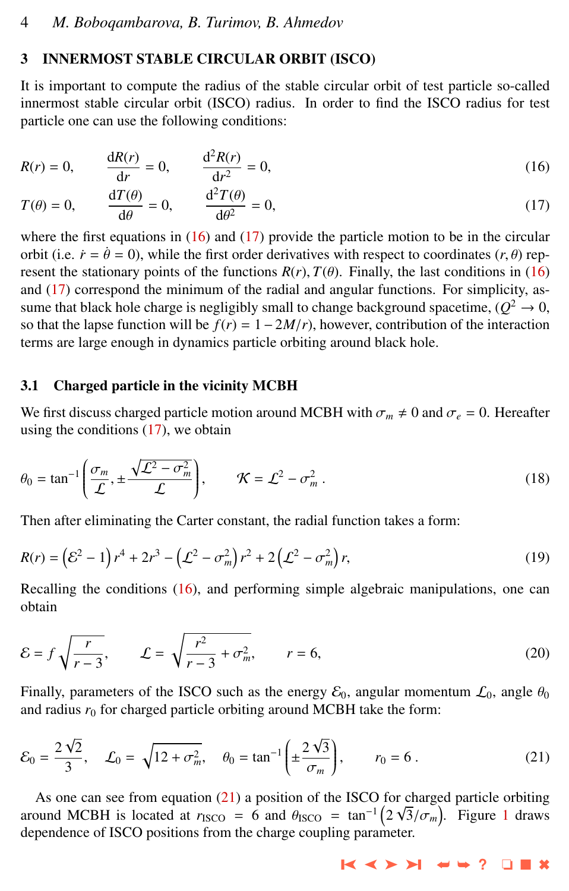#### <span id="page-3-0"></span>3 INNERMOST STABLE CIRCULAR ORBIT (ISCO)

It is important to compute the radius of the stable circular orbit of test particle so-called innermost stable circular orbit (ISCO) radius. In order to find the ISCO radius for test particle one can use the following conditions:

$$
R(r) = 0, \qquad \frac{dR(r)}{dr} = 0, \qquad \frac{d^2R(r)}{dr^2} = 0,
$$
 (16)

$$
T(\theta) = 0, \qquad \frac{\mathrm{d}T(\theta)}{\mathrm{d}\theta} = 0, \qquad \frac{\mathrm{d}^2 T(\theta)}{\mathrm{d}\theta^2} = 0,\tag{17}
$$

where the first equations in (16) and (17) provide the particle motion to be in the circular orbit (i.e.  $\dot{r} = \dot{\theta} = 0$ ), while the first order derivatives with respect to coordinates (*r*,  $\theta$ ) represent the stationary points of the functions  $R(r)$ ,  $T(\theta)$ . Finally, the last conditions in (16) and (17) correspond the minimum of the radial and angular functions. For simplicity, assume that black hole charge is negligibly small to change background spacetime,  $(Q^2 \to 0$ , so that the lapse function will be  $f(r) = 1 - 2M/r$ , however, contribution of the interaction terms are large enough in dynamics particle orbiting around black hole.

# 3.1 Charged particle in the vicinity MCBH

We first discuss charged particle motion around MCBH with  $\sigma_m \neq 0$  and  $\sigma_e = 0$ . Hereafter using the conditions  $(17)$ , we obtain

$$
\theta_0 = \tan^{-1}\left(\frac{\sigma_m}{\mathcal{L}}, \pm \frac{\sqrt{\mathcal{L}^2 - \sigma_m^2}}{\mathcal{L}}\right), \qquad \mathcal{K} = \mathcal{L}^2 - \sigma_m^2. \tag{18}
$$

Then after eliminating the Carter constant, the radial function takes a form:

$$
R(r) = (\mathcal{E}^2 - 1) r^4 + 2r^3 - (\mathcal{L}^2 - \sigma_m^2) r^2 + 2(\mathcal{L}^2 - \sigma_m^2) r,
$$
\n(19)

Recalling the conditions (16), and performing simple algebraic manipulations, one can obtain

$$
\mathcal{E} = f \sqrt{\frac{r}{r-3}}, \qquad \mathcal{L} = \sqrt{\frac{r^2}{r-3} + \sigma_m^2}, \qquad r = 6,
$$
\n(20)

Finally, parameters of the ISCO such as the energy  $\mathcal{E}_0$ , angular momentum  $\mathcal{L}_0$ , angle  $\theta_0$ and radius  $r_0$  for charged particle orbiting around MCBH take the form:

$$
\mathcal{E}_0 = \frac{2\sqrt{2}}{3}, \quad \mathcal{L}_0 = \sqrt{12 + \sigma_m^2}, \quad \theta_0 = \tan^{-1}\left(\pm \frac{2\sqrt{3}}{\sigma_m}\right), \qquad r_0 = 6 \,.
$$
 (21)

As one can see from equation (21) a position of the ISCO for charged particle orbiting around MCBH is located at  $r_{\text{ISCO}} = 6$  and  $\theta_{\text{ISCO}} = \tan^{-1}(2\sqrt{3}/\sigma_m)$  $\theta_{\text{ISCO}} = \tan^{-1}(2\sqrt{3}/\sigma_m)$  $\theta_{\text{ISCO}} = \tan^{-1}(2\sqrt{3}/\sigma_m)$ . Figure 1 draws dependence of ISCO positions from the charge coupling parameter.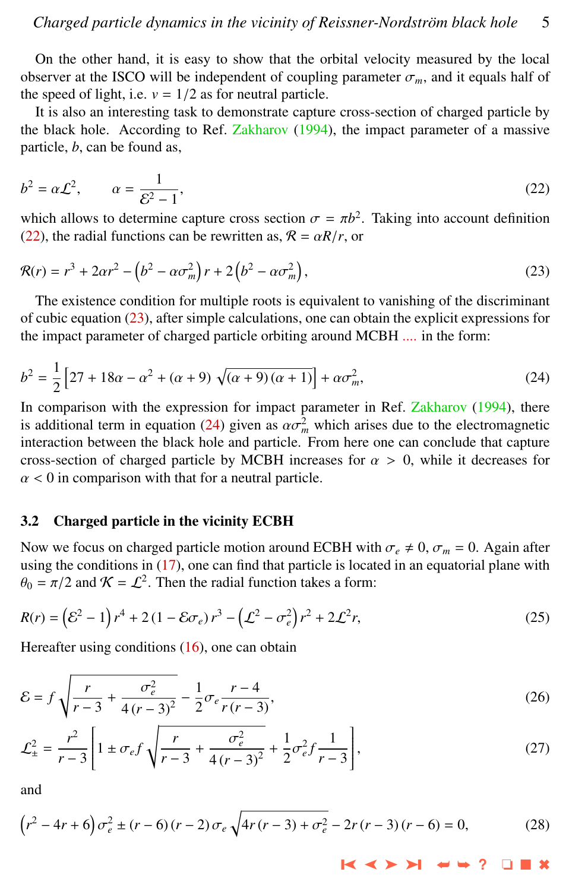<span id="page-4-0"></span>On the other hand, it is easy to show that the orbital velocity measured by the local observer at the ISCO will be independent of coupling parameter  $\sigma_m$ , and it equals half of the speed of light, i.e.  $v = 1/2$  as for neutral particle.

It is also an interesting task to demonstrate capture cross-section of charged particle by the black hole. According to Ref. [Zakharov](#page-8-0) [\(1994\)](#page-8-0), the impact parameter of a massive particle, *b*, can be found as,

$$
b^2 = \alpha \mathcal{L}^2, \qquad \alpha = \frac{1}{\mathcal{E}^2 - 1},\tag{22}
$$

which allows to determine capture cross section  $\sigma = \pi b^2$ . Taking into account definition (22) the radial functions can be rewritten as  $\mathcal{R} = \alpha R/r$  or (22), the radial functions can be rewritten as,  $\mathcal{R} = \alpha R/r$ , or

$$
\mathcal{R}(r) = r^3 + 2\alpha r^2 - \left(b^2 - \alpha \sigma_m^2\right) r + 2\left(b^2 - \alpha \sigma_m^2\right),\tag{23}
$$

The existence condition for multiple roots is equivalent to vanishing of the discriminant of cubic equation  $(23)$ , after simple calculations, one can obtain the explicit expressions for the impact parameter of charged particle orbiting around MCBH .... in the form:

$$
b^{2} = \frac{1}{2} \left[ 27 + 18\alpha - \alpha^{2} + (\alpha + 9) \sqrt{(\alpha + 9)(\alpha + 1)} \right] + \alpha \sigma_{m}^{2},
$$
 (24)

In comparison with the expression for impact parameter in Ref. [Zakharov](#page-8-0) [\(1994\)](#page-8-0), there is additional term in equation (24) given as  $\alpha \sigma_m^2$  which arises due to the electromagnetic<br>interaction between the black hole and particle. From here one can conclude that canture interaction between the black hole and particle. From here one can conclude that capture cross-section of charged particle by MCBH increases for  $\alpha > 0$ , while it decreases for  $\alpha$  < 0 in comparison with that for a neutral particle.

#### 3.2 Charged particle in the vicinity ECBH

Now we focus on charged particle motion around ECBH with  $\sigma_e \neq 0$ ,  $\sigma_m = 0$ . Again after using the conditions in [\(17\)](#page-3-0), one can find that particle is located in an equatorial plane with  $\theta_0 = \pi/2$  and  $\mathcal{K} = \mathcal{L}^2$ . Then the radial function takes a form:

$$
R(r) = (\mathcal{E}^2 - 1) r^4 + 2 (1 - \mathcal{E} \sigma_e) r^3 - (\mathcal{L}^2 - \sigma_e^2) r^2 + 2 \mathcal{L}^2 r,
$$
 (25)

Hereafter using conditions [\(16\)](#page-3-0), one can obtain

$$
\mathcal{E} = f \sqrt{\frac{r}{r-3} + \frac{\sigma_e^2}{4(r-3)^2}} - \frac{1}{2} \sigma_e \frac{r-4}{r(r-3)},\tag{26}
$$

$$
\mathcal{L}_{\pm}^{2} = \frac{r^{2}}{r-3} \left[ 1 \pm \sigma_{e} f \sqrt{\frac{r}{r-3} + \frac{\sigma_{e}^{2}}{4(r-3)^{2}}} + \frac{1}{2} \sigma_{e}^{2} f \frac{1}{r-3} \right],
$$
\n(27)

and

$$
(r^2 - 4r + 6)\sigma_e^2 \pm (r - 6)(r - 2)\sigma_e \sqrt{4r(r - 3) + \sigma_e^2} - 2r(r - 3)(r - 6) = 0,
$$
 (28)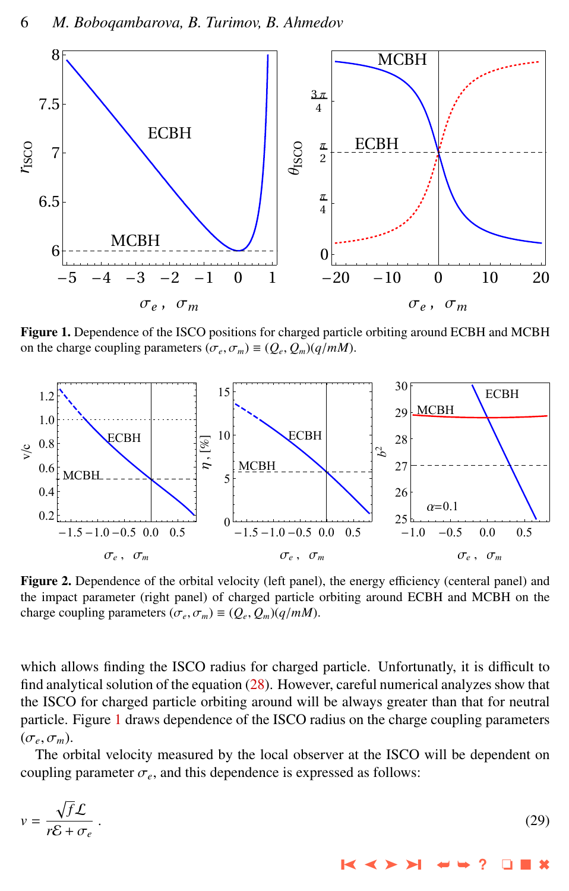<span id="page-5-0"></span>

Figure 1. Dependence of the ISCO positions for charged particle orbiting around ECBH and MCBH on the charge coupling parameters  $(\sigma_e, \sigma_m) \equiv (Q_e, Q_m)(q/mM)$ .



Figure 2. Dependence of the orbital velocity (left panel), the energy efficiency (centeral panel) and the impact parameter (right panel) of charged particle orbiting around ECBH and MCBH on the charge coupling parameters  $(\sigma_e, \sigma_m) \equiv (Q_e, Q_m)(q/mM)$ .

which allows finding the ISCO radius for charged particle. Unfortunatly, it is difficult to find analytical solution of the equation [\(28\)](#page-4-0). However, careful numerical analyzes show that the ISCO for charged particle orbiting around will be always greater than that for neutral particle. Figure 1 draws dependence of the ISCO radius on the charge coupling parameters  $(\sigma_e, \sigma_m)$ .

The orbital velocity measured by the local observer at the ISCO will be dependent on coupling parameter  $\sigma_e$ , and this dependence is expressed as follows:

$$
v = \frac{\sqrt{f}\mathcal{L}}{r\mathcal{E} + \sigma_e} \,. \tag{29}
$$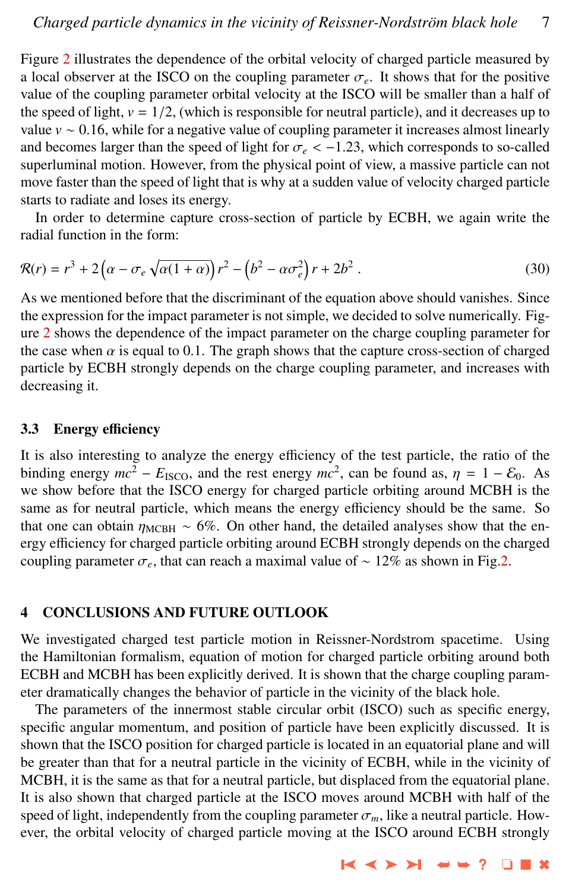Figure [2](#page-5-0) illustrates the dependence of the orbital velocity of charged particle measured by a local observer at the ISCO on the coupling parameter  $\sigma_e$ . It shows that for the positive value of the coupling parameter orbital velocity at the ISCO will be smaller than a half of the speed of light,  $v = 1/2$ , (which is responsible for neutral particle), and it decreases up to value  $v \sim 0.16$ , while for a negative value of coupling parameter it increases almost linearly and becomes larger than the speed of light for  $\sigma_e < -1.23$ , which corresponds to so-called superluminal motion. However, from the physical point of view, a massive particle can not move faster than the speed of light that is why at a sudden value of velocity charged particle starts to radiate and loses its energy.

In order to determine capture cross-section of particle by ECBH, we again write the radial function in the form:

$$
\mathcal{R}(r) = r^3 + 2\left(\alpha - \sigma_e \sqrt{\alpha(1+\alpha)}\right) r^2 - \left(b^2 - \alpha \sigma_e^2\right) r + 2b^2 \,. \tag{30}
$$

As we mentioned before that the discriminant of the equation above should vanishes. Since the expression for the impact parameter is not simple, we decided to solve numerically. Fig-ure [2](#page-5-0) shows the dependence of the impact parameter on the charge coupling parameter for the case when  $\alpha$  is equal to 0.1. The graph shows that the capture cross-section of charged particle by ECBH strongly depends on the charge coupling parameter, and increases with decreasing it.

# 3.3 Energy efficiency

It is also interesting to analyze the energy efficiency of the test particle, the ratio of the binding energy  $mc^2 - E_{\text{ISCO}}$ , and the rest energy  $mc^2$ , can be found as,  $\eta = 1 - \mathcal{E}_0$ . As we show before that the ISCO energy for charged particle orbiting around MCBH is the same as for neutral particle, which means the energy efficiency should be the same. So that one can obtain  $\eta_{\text{MCBH}} \sim 6\%$ . On other hand, the detailed analyses show that the energy efficiency for charged particle orbiting around ECBH strongly depends on the charged coupling parameter  $\sigma_e$ , that can reach a maximal value of ~ 12% as shown in Fig[.2.](#page-5-0)

# 4 CONCLUSIONS AND FUTURE OUTLOOK

We investigated charged test particle motion in Reissner-Nordstrom spacetime. Using the Hamiltonian formalism, equation of motion for charged particle orbiting around both ECBH and MCBH has been explicitly derived. It is shown that the charge coupling parameter dramatically changes the behavior of particle in the vicinity of the black hole.

The parameters of the innermost stable circular orbit (ISCO) such as specific energy, specific angular momentum, and position of particle have been explicitly discussed. It is shown that the ISCO position for charged particle is located in an equatorial plane and will be greater than that for a neutral particle in the vicinity of ECBH, while in the vicinity of MCBH, it is the same as that for a neutral particle, but displaced from the equatorial plane. It is also shown that charged particle at the ISCO moves around MCBH with half of the speed of light, independently from the coupling parameter  $\sigma_m$ , like a neutral particle. However, the orbital velocity of charged particle moving at the ISCO around ECBH strongly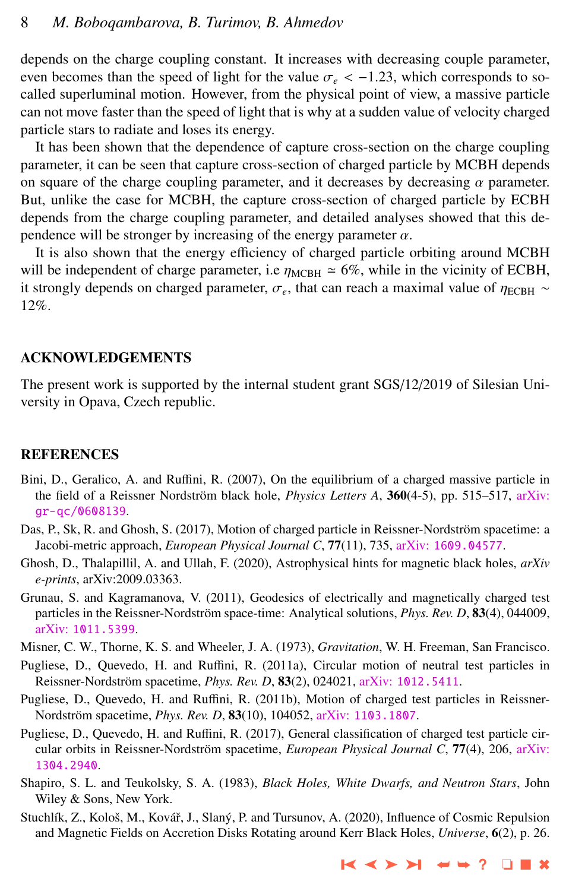<span id="page-7-0"></span>depends on the charge coupling constant. It increases with decreasing couple parameter, even becomes than the speed of light for the value  $\sigma_e < -1.23$ , which corresponds to socalled superluminal motion. However, from the physical point of view, a massive particle can not move faster than the speed of light that is why at a sudden value of velocity charged particle stars to radiate and loses its energy.

It has been shown that the dependence of capture cross-section on the charge coupling parameter, it can be seen that capture cross-section of charged particle by MCBH depends on square of the charge coupling parameter, and it decreases by decreasing  $\alpha$  parameter. But, unlike the case for MCBH, the capture cross-section of charged particle by ECBH depends from the charge coupling parameter, and detailed analyses showed that this dependence will be stronger by increasing of the energy parameter  $\alpha$ .

It is also shown that the energy efficiency of charged particle orbiting around MCBH will be independent of charge parameter, i.e  $\eta_{\text{MCBH}} \approx 6\%$ , while in the vicinity of ECBH, it strongly depends on charged parameter,  $\sigma_e$ , that can reach a maximal value of  $\eta_{\text{ECBH}} \sim$ 12%.

#### ACKNOWLEDGEMENTS

The present work is supported by the internal student grant SGS/12/2019 of Silesian University in Opava, Czech republic.

#### **REFERENCES**

- Bini, D., Geralico, A. and Ruffini, R. (2007), On the equilibrium of a charged massive particle in the field of a Reissner Nordström black hole, *Physics Letters A*, 360(4-5), pp. 515–517, [arXiv:](http://www.arxiv.org/abs/gr-qc/0608139) [gr-qc/0608139](http://www.arxiv.org/abs/gr-qc/0608139).
- Das, P., Sk, R. and Ghosh, S. (2017), Motion of charged particle in Reissner-Nordström spacetime: a Jacobi-metric approach, *European Physical Journal C*, 77(11), 735, arXiv: [1609.04577](http://www.arxiv.org/abs/1609.04577).
- Ghosh, D., Thalapillil, A. and Ullah, F. (2020), Astrophysical hints for magnetic black holes, *arXiv e-prints*, arXiv:2009.03363.
- Grunau, S. and Kagramanova, V. (2011), Geodesics of electrically and magnetically charged test particles in the Reissner-Nordström space-time: Analytical solutions, *Phys. Rev. D*, 83(4), 044009, arXiv: [1011.5399](http://www.arxiv.org/abs/1011.5399).
- Misner, C. W., Thorne, K. S. and Wheeler, J. A. (1973), *Gravitation*, W. H. Freeman, San Francisco.
- Pugliese, D., Quevedo, H. and Ruffini, R. (2011a), Circular motion of neutral test particles in Reissner-Nordström spacetime, *Phys. Rev. D*, 83(2), 024021, arXiv: [1012.5411](http://www.arxiv.org/abs/1012.5411).
- Pugliese, D., Quevedo, H. and Ruffini, R. (2011b), Motion of charged test particles in Reissner-Nordström spacetime, *Phys. Rev. D*, **83**(10), 104052, arXiv: [1103.1807](http://www.arxiv.org/abs/1103.1807).
- Pugliese, D., Quevedo, H. and Ruffini, R. (2017), General classification of charged test particle circular orbits in Reissner-Nordström spacetime, *European Physical Journal C*, 77(4), 206, [arXiv:](http://www.arxiv.org/abs/1304.2940) [1304.2940](http://www.arxiv.org/abs/1304.2940).
- Shapiro, S. L. and Teukolsky, S. A. (1983), *Black Holes, White Dwarfs, and Neutron Stars*, John Wiley & Sons, New York.
- Stuchlík, Z., Kološ, M., Kovář, J., Slaný, P. and Tursunov, A. (2020), Influence of Cosmic Repulsion and Magnetic Fields on Accretion Disks Rotating around Kerr Black Holes, *Universe*, 6(2), p. 26.